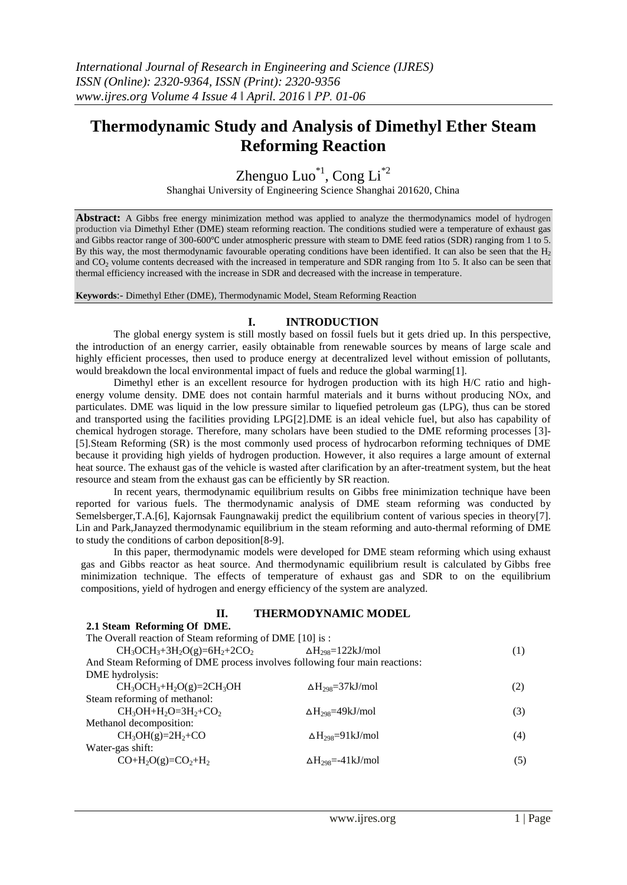# **Thermodynamic Study and Analysis of Dimethyl Ether Steam Reforming Reaction**

Zhenguo Luo $i<sup>1</sup>$ , Cong Li<sup>\*2</sup>

Shanghai University of Engineering Science Shanghai 201620, China

**Abstract:** A Gibbs free energy minimization method was applied to analyze the thermodynamics model of hydrogen production via Dimethyl Ether (DME) steam reforming reaction. The conditions studied were a temperature of exhaust gas and Gibbs reactor range of 300-600℃ under atmospheric pressure with steam to DME feed ratios (SDR) ranging from 1 to 5. By this way, the most thermodynamic favourable operating conditions have been identified. It can also be seen that the  $H_2$ and CO<sub>2</sub> volume contents decreased with the increased in temperature and SDR ranging from 1to 5. It also can be seen that thermal efficiency increased with the increase in SDR and decreased with the increase in temperature.

**Keywords**:- Dimethyl Ether (DME), Thermodynamic Model, Steam Reforming Reaction

# **I. INTRODUCTION**

The global energy system is still mostly based on fossil fuels but it gets dried up. In this perspective, the introduction of an energy carrier, easily obtainable from renewable sources by means of large scale and highly efficient processes, then used to produce energy at decentralized level without emission of pollutants, would breakdown the local environmental impact of fuels and reduce the global warming[1].

Dimethyl ether is an excellent resource for hydrogen production with its high H/C ratio and highenergy volume density. DME does not contain harmful materials and it burns without producing NOx, and particulates. DME was liquid in the low pressure similar to liquefied petroleum gas (LPG), thus can be stored and transported using the facilities providing LPG[2].DME is an ideal vehicle fuel, but also has capability of chemical hydrogen storage. Therefore, many scholars have been studied to the DME reforming processes [3]- [5].Steam Reforming (SR) is the most commonly used process of hydrocarbon reforming techniques of DME because it providing high yields of hydrogen production. However, it also requires a large amount of external heat source. The exhaust gas of the vehicle is wasted after clarification by an after-treatment system, but the heat resource and steam from the exhaust gas can be efficiently by SR reaction.

In recent years, thermodynamic equilibrium results on Gibbs free minimization technique have been reported for various fuels. The thermodynamic analysis of DME steam reforming was conducted by Semelsberger,T.A.[6], Kajornsak Faungnawakij predict the equilibrium content of various species in theory[7]. Lin and Park,Janayzed thermodynamic equilibrium in the steam reforming and auto-thermal reforming of DME to study the conditions of carbon deposition[8-9].

In this paper, thermodynamic models were developed for DME steam reforming which using exhaust gas and Gibbs reactor as heat source. And thermodynamic equilibrium result is calculated by Gibbs free minimization technique. The effects of temperature of exhaust gas and SDR to on the equilibrium compositions, yield of hydrogen and energy efficiency of the system are analyzed.

## **II. THERMODYNAMIC MODEL**

| 2.1 Steam Reforming Of DME.                                                |                                      |     |
|----------------------------------------------------------------------------|--------------------------------------|-----|
| The Overall reaction of Steam reforming of DME [10] is:                    |                                      |     |
| $CH_3OCH_3 + 3H_2O(g) = 6H_2 + 2CO_2$                                      | $\Delta H_{298} = 122 \text{kJ/mol}$ | (1) |
| And Steam Reforming of DME process involves following four main reactions: |                                      |     |
| DME hydrolysis:                                                            |                                      |     |
| $CH_3OCH_3+H_2O(g)=2CH_3OH$                                                | $\Delta H_{298} = 37 \text{kJ/mol}$  | (2) |
| Steam reforming of methanol:                                               |                                      |     |
| $CH_3OH + H_2O = 3H_2 + CO_2$                                              | $\Delta H_{298} = 49 kJ/mol$         | (3) |
| Methanol decomposition:                                                    |                                      |     |
| $CH_3OH(g)=2H_2+CO$                                                        | $\Delta H_{298} = 91 \text{kJ/mol}$  | (4) |
| Water-gas shift:                                                           |                                      |     |
| $CO+H2O(g)=CO2+H2$                                                         | $\Delta H_{298} = -41 \text{kJ/mol}$ | (5) |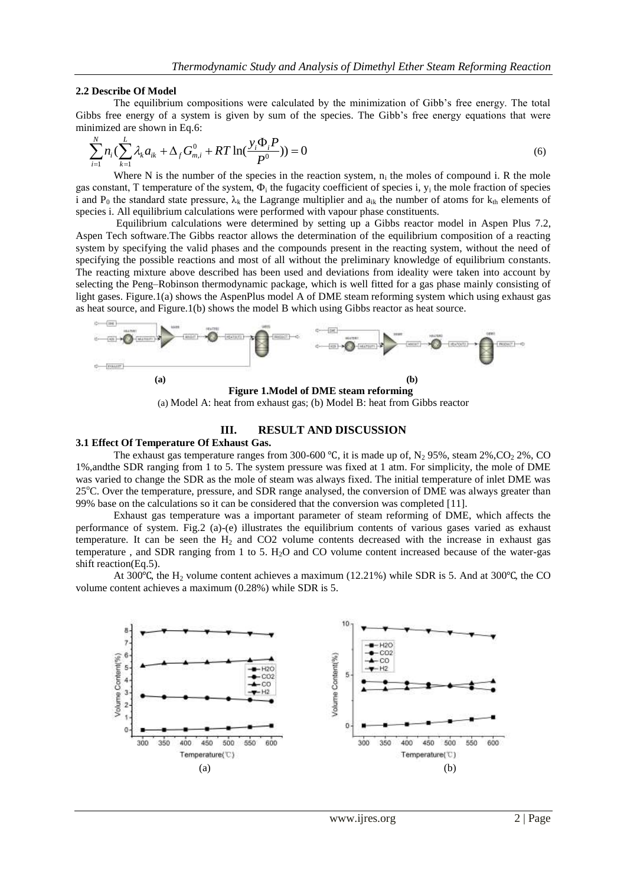#### **2.2 Describe Of Model**

The equilibrium compositions were calculated by the minimization of Gibb's free energy. The total

Gibbs free energy of a system is given by sum of the species. The Gibbs's free energy equations that were minimized are shown in Eq.6:\n
$$
\sum_{i=1}^{N} n_i \left( \sum_{k=1}^{L} \lambda_k a_{ik} + \Delta_f G_{m,i}^0 + RT \ln(\frac{y_i \Phi_i P}{P}) \right) = 0
$$
\n(6)

Where N is the number of the species in the reaction system,  $n_i$  the moles of compound i. R the mole gas constant, T temperature of the system,  $\Phi_i$  the fugacity coefficient of species i,  $y_i$  the mole fraction of species i and P<sub>0</sub> the standard state pressure,  $\lambda_k$  the Lagrange multiplier and  $a_{ik}$  the number of atoms for  $k_{th}$  elements of species i. All equilibrium calculations were performed with vapour phase constituents.

Equilibrium calculations were determined by setting up a Gibbs reactor model in Aspen Plus 7.2, Aspen Tech software.The Gibbs reactor allows the determination of the equilibrium composition of a reacting system by specifying the valid phases and the compounds present in the reacting system, without the need of specifying the possible reactions and most of all without the preliminary knowledge of equilibrium constants. The reacting mixture above described has been used and deviations from ideality were taken into account by selecting the Peng–Robinson thermodynamic package, which is well fitted for a gas phase mainly consisting of light gases. Figure.1(a) shows the AspenPlus model A of DME steam reforming system which using exhaust gas as heat source, and Figure.1(b) shows the model B which using Gibbs reactor as heat source.



(a) Model A: heat from exhaust gas; (b) Model B: heat from Gibbs reactor

## **III. RESULT AND DISCUSSION**

## **3.1 Effect Of Temperature Of Exhaust Gas.**

The exhaust gas temperature ranges from 300-600 °C, it is made up of, N<sub>2</sub> 95%, steam 2%, CO<sub>2</sub> 2%, CO 1%,andthe SDR ranging from 1 to 5. The system pressure was fixed at 1 atm. For simplicity, the mole of DME was varied to change the SDR as the mole of steam was always fixed. The initial temperature of inlet DME was 25<sup>o</sup>C. Over the temperature, pressure, and SDR range analysed, the conversion of DME was always greater than 99% base on the calculations so it can be considered that the conversion was completed [11].

Exhaust gas temperature was a important parameter of steam reforming of DME, which affects the performance of system. Fig.2 (a)-(e) illustrates the equilibrium contents of various gases varied as exhaust temperature. It can be seen the  $H_2$  and CO2 volume contents decreased with the increase in exhaust gas temperature , and SDR ranging from 1 to 5. H2O and CO volume content increased because of the water-gas shift reaction(Eq.5).

At 300 °C, the H<sub>2</sub> volume content achieves a maximum (12.21%) while SDR is 5. And at 300 °C, the CO volume content achieves a maximum (0.28%) while SDR is 5.

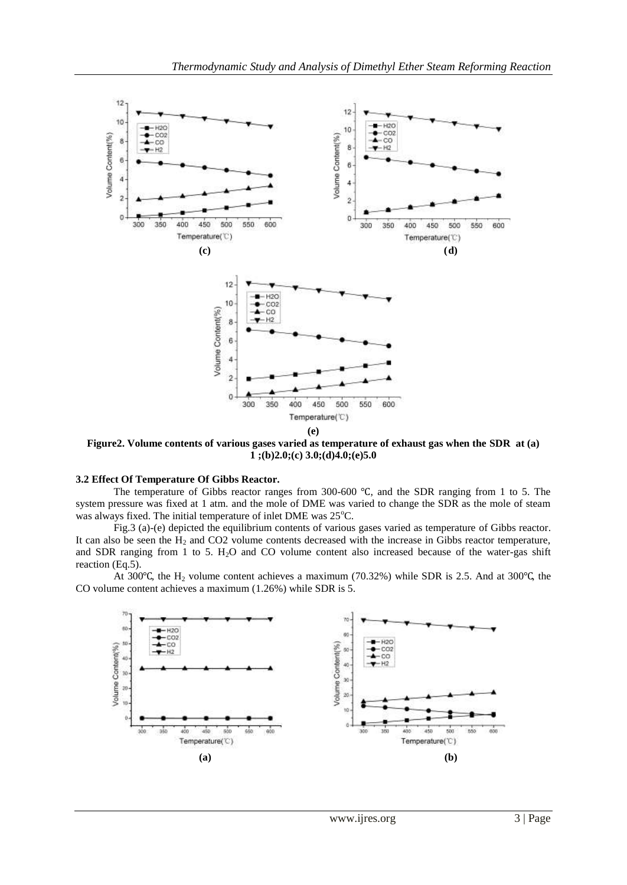

**Figure2. Volume contents of various gases varied as temperature of exhaust gas when the SDR at (a) 1 ;(b)2.0;(c) 3.0;(d)4.0;(e)5.0**

## **3.2 Effect Of Temperature Of Gibbs Reactor.**

The temperature of Gibbs reactor ranges from 300-600 ℃, and the SDR ranging from 1 to 5. The system pressure was fixed at 1 atm. and the mole of DME was varied to change the SDR as the mole of steam was always fixed. The initial temperature of inlet DME was  $25^{\circ}$ C.

Fig.3 (a)-(e) depicted the equilibrium contents of various gases varied as temperature of Gibbs reactor. It can also be seen the  $H_2$  and CO2 volume contents decreased with the increase in Gibbs reactor temperature, and SDR ranging from 1 to 5. H<sub>2</sub>O and CO volume content also increased because of the water-gas shift reaction (Eq.5).

At 300 $\degree$ C, the H<sub>2</sub> volume content achieves a maximum (70.32%) while SDR is 2.5. And at 300 $\degree$ C, the CO volume content achieves a maximum (1.26%) while SDR is 5.

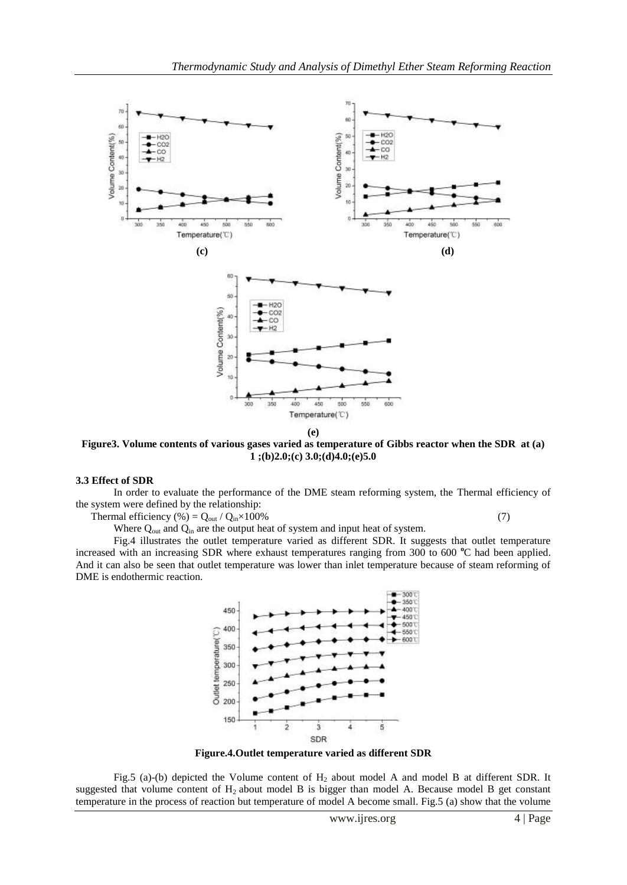

**Figure3. Volume contents of various gases varied as temperature of Gibbs reactor when the SDR at (a) 1 ;(b)2.0;(c) 3.0;(d)4.0;(e)5.0**

#### **3.3 Effect of SDR**

In order to evaluate the performance of the DME steam reforming system, the Thermal efficiency of the system were defined by the relationship:

Thermal efficiency (%) =  $Q_{\text{out}} / Q_{\text{in}} \times 100\%$  (7)

Fig.4 illustrates the outlet temperature varied as different SDR. It suggests that outlet temperature increased with an increasing SDR where exhaust temperatures ranging from 300 to 600 °C had been applied. And it can also be seen that outlet temperature was lower than inlet temperature because of steam reforming of DME is endothermic reaction.

Where Q<sub>out</sub> and Q<sub>in</sub> are the output heat of system and input heat of system.



**Figure.4.Outlet temperature varied as different SDR**

Fig.5 (a)-(b) depicted the Volume content of  $H_2$  about model A and model B at different SDR. It suggested that volume content of  $H_2$  about model B is bigger than model A. Because model B get constant temperature in the process of reaction but temperature of model A become small. Fig.5 (a) show that the volume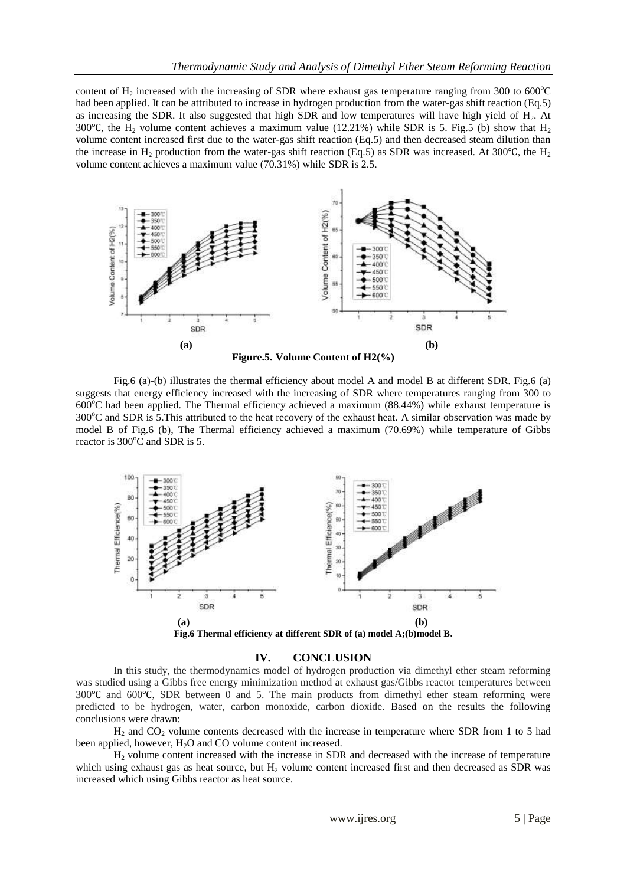content of  $H_2$  increased with the increasing of SDR where exhaust gas temperature ranging from 300 to 600 $^{\circ}$ C had been applied. It can be attributed to increase in hydrogen production from the water-gas shift reaction (Eq.5) as increasing the SDR. It also suggested that high SDR and low temperatures will have high yield of H<sub>2</sub>. At 300°C, the H<sub>2</sub> volume content achieves a maximum value (12.21%) while SDR is 5. Fig.5 (b) show that H<sub>2</sub> volume content increased first due to the water-gas shift reaction (Eq.5) and then decreased steam dilution than the increase in H<sub>2</sub> production from the water-gas shift reaction (Eq.5) as SDR was increased. At 300°C, the H<sub>2</sub> volume content achieves a maximum value (70.31%) while SDR is 2.5.





Fig.6 (a)-(b) illustrates the thermal efficiency about model A and model B at different SDR. Fig.6 (a) suggests that energy efficiency increased with the increasing of SDR where temperatures ranging from 300 to  $600^{\circ}$ C had been applied. The Thermal efficiency achieved a maximum (88.44%) while exhaust temperature is  $300^{\circ}$ C and SDR is 5.This attributed to the heat recovery of the exhaust heat. A similar observation was made by model B of Fig.6 (b), The Thermal efficiency achieved a maximum (70.69%) while temperature of Gibbs reactor is 300°C and SDR is 5.



**Fig.6 Thermal efficiency at different SDR of (a) model A;(b)model B.**

## **IV. CONCLUSION**

In this study, the thermodynamics model of hydrogen production via dimethyl ether steam reforming was studied using a Gibbs free energy minimization method at exhaust gas/Gibbs reactor temperatures between 300℃ and 600℃, SDR between 0 and 5. The main products from dimethyl ether steam reforming were predicted to be hydrogen, water, carbon monoxide, carbon dioxide. Based on the results the following conclusions were drawn:

 $H_2$  and CO<sub>2</sub> volume contents decreased with the increase in temperature where SDR from 1 to 5 had been applied, however, H<sub>2</sub>O and CO volume content increased.

H<sup>2</sup> volume content increased with the increase in SDR and decreased with the increase of temperature which using exhaust gas as heat source, but  $H<sub>2</sub>$  volume content increased first and then decreased as SDR was increased which using Gibbs reactor as heat source.